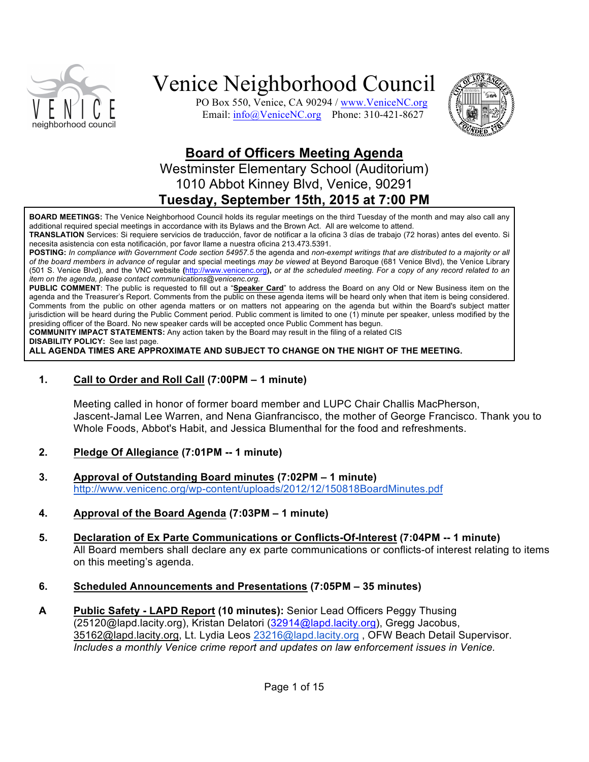

PO Box 550, Venice, CA 90294 / www.VeniceNC.org Email: info@VeniceNC.org Phone: 310-421-8627



## **Board of Officers Meeting Agenda**

## Westminster Elementary School (Auditorium) 1010 Abbot Kinney Blvd, Venice, 90291 **Tuesday, September 15th, 2015 at 7:00 PM**

**BOARD MEETINGS:** The Venice Neighborhood Council holds its regular meetings on the third Tuesday of the month and may also call any additional required special meetings in accordance with its Bylaws and the Brown Act. All are welcome to attend.

**TRANSLATION** Services: Si requiere servicios de traducción, favor de notificar a la oficina 3 días de trabajo (72 horas) antes del evento. Si necesita asistencia con esta notificación, por favor llame a nuestra oficina 213.473.5391.

**POSTING:** *In compliance with Government Code section 54957.5* the agenda and *non-exempt writings that are distributed to a majority or all of the board members in advance of* regular and special meetings *may be viewed* at Beyond Baroque (681 Venice Blvd), the Venice Library (501 S. Venice Blvd), and the VNC website **(**http://www.venicenc.org**),** *or at the scheduled meeting. For a copy of any record related to an item on the agenda, please contact communications@venicenc.org.*

**PUBLIC COMMENT**: The public is requested to fill out a "**Speaker Card**" to address the Board on any Old or New Business item on the agenda and the Treasurer's Report. Comments from the public on these agenda items will be heard only when that item is being considered. Comments from the public on other agenda matters or on matters not appearing on the agenda but within the Board's subject matter jurisdiction will be heard during the Public Comment period. Public comment is limited to one (1) minute per speaker, unless modified by the presiding officer of the Board. No new speaker cards will be accepted once Public Comment has begun.

**COMMUNITY IMPACT STATEMENTS:** Any action taken by the Board may result in the filing of a related CIS

**DISABILITY POLICY:** See last page.

**ALL AGENDA TIMES ARE APPROXIMATE AND SUBJECT TO CHANGE ON THE NIGHT OF THE MEETING.**

#### **1. Call to Order and Roll Call (7:00PM – 1 minute)**

Meeting called in honor of former board member and LUPC Chair Challis MacPherson, Jascent-Jamal Lee Warren, and Nena Gianfrancisco, the mother of George Francisco. Thank you to Whole Foods, Abbot's Habit, and Jessica Blumenthal for the food and refreshments.

#### **2. Pledge Of Allegiance (7:01PM -- 1 minute)**

- **3. Approval of Outstanding Board minutes (7:02PM – 1 minute)** http://www.venicenc.org/wp-content/uploads/2012/12/150818BoardMinutes.pdf
- **4. Approval of the Board Agenda (7:03PM – 1 minute)**
- **5. Declaration of Ex Parte Communications or Conflicts-Of-Interest (7:04PM -- 1 minute)**  All Board members shall declare any ex parte communications or conflicts-of interest relating to items on this meeting's agenda.
- **6. Scheduled Announcements and Presentations (7:05PM – 35 minutes)**
- **A Public Safety - LAPD Report (10 minutes):** Senior Lead Officers Peggy Thusing (25120@lapd.lacity.org), Kristan Delatori (32914@lapd.lacity.org), Gregg Jacobus, 35162@lapd.lacity.org, Lt. Lydia Leos 23216@lapd.lacity.org, OFW Beach Detail Supervisor. *Includes a monthly Venice crime report and updates on law enforcement issues in Venice.*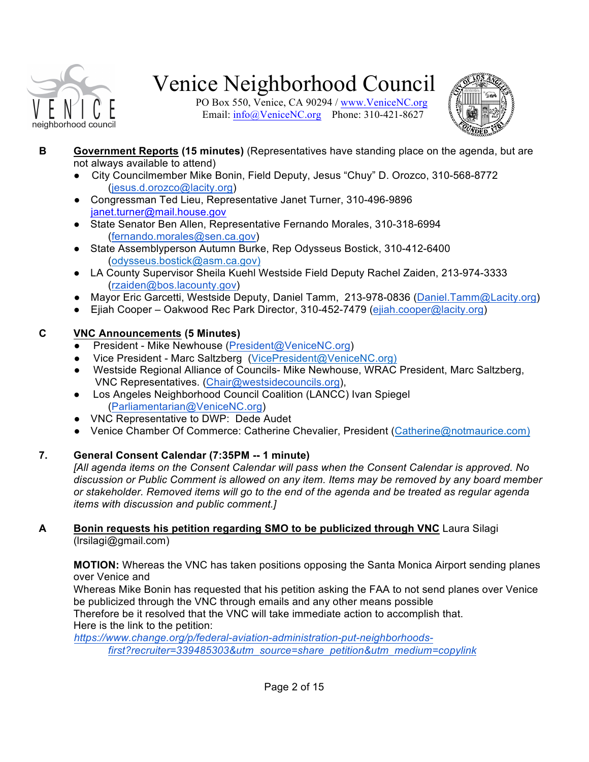

PO Box 550, Venice, CA 90294 / www.VeniceNC.org Email:  $info@V$ eniceNC.org Phone: 310-421-8627



- **B Government Reports (15 minutes)** (Representatives have standing place on the agenda, but are not always available to attend)
	- City Councilmember Mike Bonin, Field Deputy, Jesus "Chuy" D. Orozco, 310-568-8772 (jesus.d.orozco@lacity.org)
	- Congressman Ted Lieu, Representative Janet Turner, 310-496-9896 janet.turner@mail.house.gov
	- State Senator Ben Allen, Representative Fernando Morales, 310-318-6994 (fernando.morales@sen.ca.gov)
	- State Assemblyperson Autumn Burke, Rep Odysseus Bostick, 310-412-6400 (odysseus.bostick@asm.ca.gov)
	- LA County Supervisor Sheila Kuehl Westside Field Deputy Rachel Zaiden, 213-974-3333 (rzaiden@bos.lacounty.gov)
	- Mayor Eric Garcetti, Westside Deputy, Daniel Tamm, 213-978-0836 (Daniel.Tamm@Lacity.org)
	- Ejiah Cooper Oakwood Rec Park Director, 310-452-7479 (ejiah.cooper@lacity.org)

### **C VNC Announcements (5 Minutes)**

- President Mike Newhouse (President@VeniceNC.org)
- Vice President Marc Saltzberg (VicePresident@VeniceNC.org)
- Westside Regional Alliance of Councils- Mike Newhouse, WRAC President, Marc Saltzberg, VNC Representatives. (Chair@westsidecouncils.org),
- Los Angeles Neighborhood Council Coalition (LANCC) Ivan Spiegel (Parliamentarian@VeniceNC.org)
- VNC Representative to DWP: Dede Audet
- Venice Chamber Of Commerce: Catherine Chevalier, President (Catherine@notmaurice.com)

### **7. General Consent Calendar (7:35PM -- 1 minute)**

*[All agenda items on the Consent Calendar will pass when the Consent Calendar is approved. No discussion or Public Comment is allowed on any item. Items may be removed by any board member or stakeholder. Removed items will go to the end of the agenda and be treated as regular agenda items with discussion and public comment.]*

#### **A Bonin requests his petition regarding SMO to be publicized through VNC** Laura Silagi (lrsilagi@gmail.com)

**MOTION:** Whereas the VNC has taken positions opposing the Santa Monica Airport sending planes over Venice and

Whereas Mike Bonin has requested that his petition asking the FAA to not send planes over Venice be publicized through the VNC through emails and any other means possible

Therefore be it resolved that the VNC will take immediate action to accomplish that. Here is the link to the petition:

*https://www.change.org/p/federal-aviation-administration-put-neighborhoodsfirst?recruiter=339485303&utm\_source=share\_petition&utm\_medium=copylink*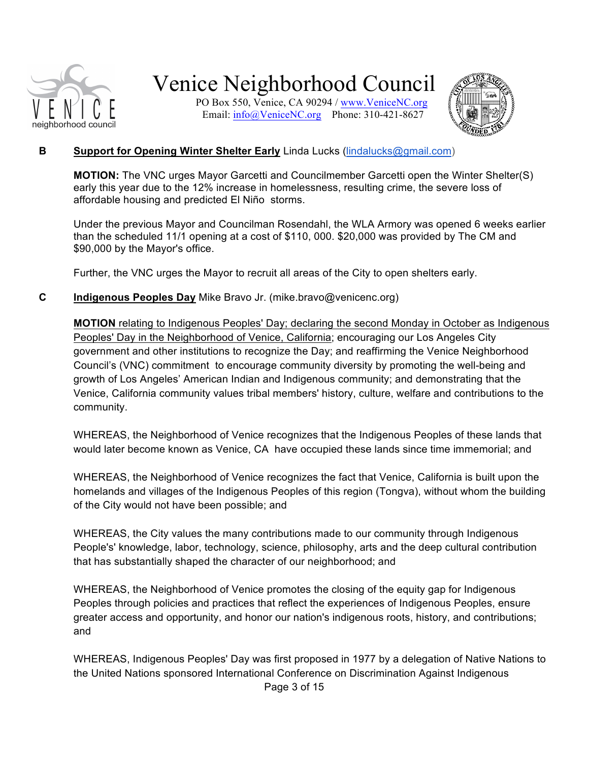

PO Box 550, Venice, CA 90294 / www.VeniceNC.org Email:  $info@$ VeniceNC.org Phone: 310-421-8627



#### **B Support for Opening Winter Shelter Early** Linda Lucks (lindalucks@gmail.com)

**MOTION:** The VNC urges Mayor Garcetti and Councilmember Garcetti open the Winter Shelter(S) early this year due to the 12% increase in homelessness, resulting crime, the severe loss of affordable housing and predicted El Niño storms.

Under the previous Mayor and Councilman Rosendahl, the WLA Armory was opened 6 weeks earlier than the scheduled 11/1 opening at a cost of \$110, 000. \$20,000 was provided by The CM and \$90,000 by the Mayor's office.

Further, the VNC urges the Mayor to recruit all areas of the City to open shelters early.

#### **C Indigenous Peoples Day** Mike Bravo Jr. (mike.bravo@venicenc.org)

**MOTION** relating to Indigenous Peoples' Day; declaring the second Monday in October as Indigenous Peoples' Day in the Neighborhood of Venice, California; encouraging our Los Angeles City government and other institutions to recognize the Day; and reaffirming the Venice Neighborhood Council's (VNC) commitment to encourage community diversity by promoting the well-being and growth of Los Angeles' American Indian and Indigenous community; and demonstrating that the Venice, California community values tribal members' history, culture, welfare and contributions to the community.

WHEREAS, the Neighborhood of Venice recognizes that the Indigenous Peoples of these lands that would later become known as Venice, CA have occupied these lands since time immemorial; and

WHEREAS, the Neighborhood of Venice recognizes the fact that Venice, California is built upon the homelands and villages of the Indigenous Peoples of this region (Tongva), without whom the building of the City would not have been possible; and

WHEREAS, the City values the many contributions made to our community through Indigenous People's' knowledge, labor, technology, science, philosophy, arts and the deep cultural contribution that has substantially shaped the character of our neighborhood; and

WHEREAS, the Neighborhood of Venice promotes the closing of the equity gap for Indigenous Peoples through policies and practices that reflect the experiences of Indigenous Peoples, ensure greater access and opportunity, and honor our nation's indigenous roots, history, and contributions; and

WHEREAS, Indigenous Peoples' Day was first proposed in 1977 by a delegation of Native Nations to the United Nations sponsored International Conference on Discrimination Against Indigenous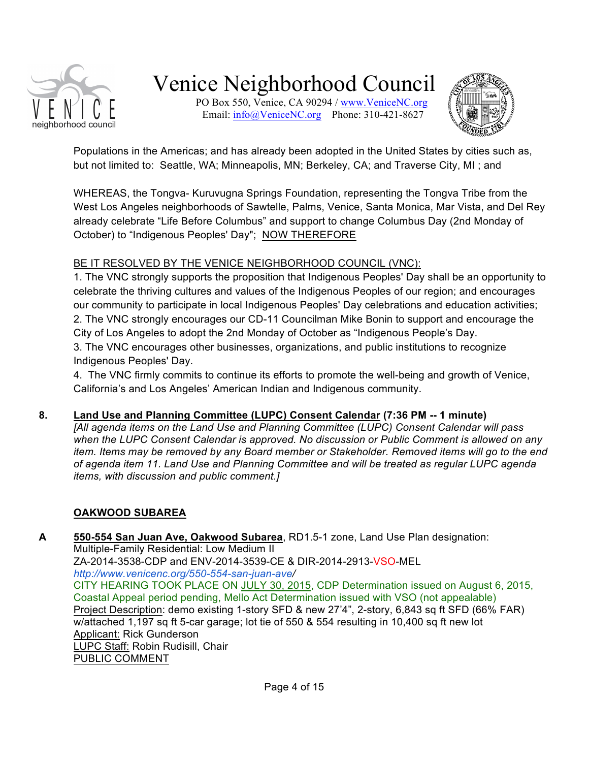

PO Box 550, Venice, CA 90294 / www.VeniceNC.org Email:  $info@V$ eniceNC.org Phone: 310-421-8627



Populations in the Americas; and has already been adopted in the United States by cities such as, but not limited to: Seattle, WA; Minneapolis, MN; Berkeley, CA; and Traverse City, MI ; and

WHEREAS, the Tongva- Kuruvugna Springs Foundation, representing the Tongva Tribe from the West Los Angeles neighborhoods of Sawtelle, Palms, Venice, Santa Monica, Mar Vista, and Del Rey already celebrate "Life Before Columbus" and support to change Columbus Day (2nd Monday of October) to "Indigenous Peoples' Day"; NOW THEREFORE

#### BE IT RESOLVED BY THE VENICE NEIGHBORHOOD COUNCIL (VNC):

1. The VNC strongly supports the proposition that Indigenous Peoples' Day shall be an opportunity to celebrate the thriving cultures and values of the Indigenous Peoples of our region; and encourages our community to participate in local Indigenous Peoples' Day celebrations and education activities; 2. The VNC strongly encourages our CD-11 Councilman Mike Bonin to support and encourage the City of Los Angeles to adopt the 2nd Monday of October as "Indigenous People's Day. 3. The VNC encourages other businesses, organizations, and public institutions to recognize Indigenous Peoples' Day.

4. The VNC firmly commits to continue its efforts to promote the well-being and growth of Venice, California's and Los Angeles' American Indian and Indigenous community.

### **8. Land Use and Planning Committee (LUPC) Consent Calendar (7:36 PM -- 1 minute)**

*[All agenda items on the Land Use and Planning Committee (LUPC) Consent Calendar will pass when the LUPC Consent Calendar is approved. No discussion or Public Comment is allowed on any item. Items may be removed by any Board member or Stakeholder. Removed items will go to the end of agenda item 11. Land Use and Planning Committee and will be treated as regular LUPC agenda items, with discussion and public comment.]*

### **OAKWOOD SUBAREA**

**A 550-554 San Juan Ave, Oakwood Subarea**, RD1.5-1 zone, Land Use Plan designation: Multiple-Family Residential: Low Medium II ZA-2014-3538-CDP and ENV-2014-3539-CE & DIR-2014-2913-VSO-MEL *http://www.venicenc.org/550-554-san-juan-ave/* CITY HEARING TOOK PLACE ON JULY 30, 2015, CDP Determination issued on August 6, 2015, Coastal Appeal period pending, Mello Act Determination issued with VSO (not appealable) Project Description: demo existing 1-story SFD & new 27'4", 2-story, 6,843 sq ft SFD (66% FAR) w/attached 1,197 sq ft 5-car garage; lot tie of 550 & 554 resulting in 10,400 sq ft new lot Applicant: Rick Gunderson LUPC Staff: Robin Rudisill, Chair PUBLIC COMMENT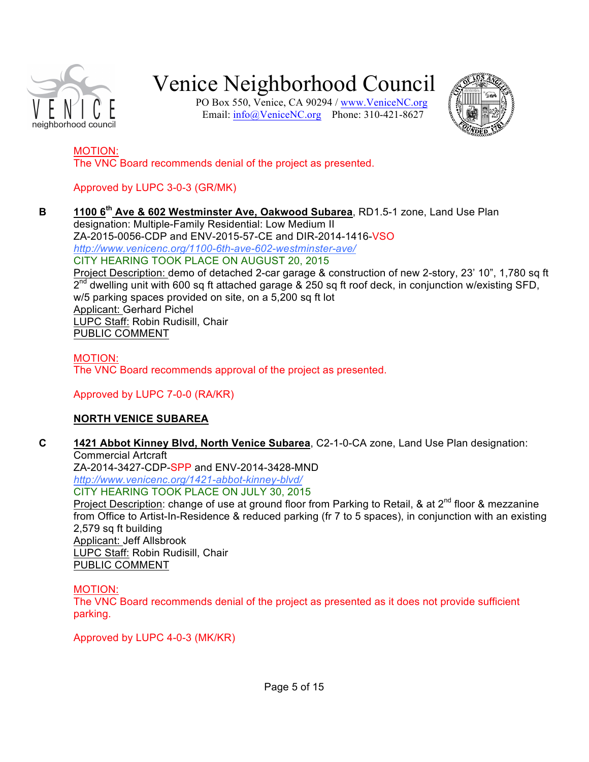

PO Box 550, Venice, CA 90294 / www.VeniceNC.org Email: info@VeniceNC.org Phone: 310-421-8627



### MOTION:

The VNC Board recommends denial of the project as presented.

## Approved by LUPC 3-0-3 (GR/MK)

**B 1100 6th Ave & 602 Westminster Ave, Oakwood Subarea**, RD1.5-1 zone, Land Use Plan designation: Multiple-Family Residential: Low Medium II ZA-2015-0056-CDP and ENV-2015-57-CE and DIR-2014-1416-VSO *http://www.venicenc.org/1100-6th-ave-602-westminster-ave/* CITY HEARING TOOK PLACE ON AUGUST 20, 2015

Project Description: demo of detached 2-car garage & construction of new 2-story, 23' 10", 1,780 sq ft  $2^{nd}$  dwelling unit with 600 sq ft attached garage & 250 sq ft roof deck, in conjunction w/existing SFD, w/5 parking spaces provided on site, on a 5,200 sq ft lot Applicant: Gerhard Pichel LUPC Staff: Robin Rudisill, Chair PUBLIC COMMENT

#### MOTION:

The VNC Board recommends approval of the project as presented.

### Approved by LUPC 7-0-0 (RA/KR)

### **NORTH VENICE SUBAREA**

**C 1421 Abbot Kinney Blvd, North Venice Subarea**, C2-1-0-CA zone, Land Use Plan designation: Commercial Artcraft ZA-2014-3427-CDP-SPP and ENV-2014-3428-MND *http://www.venicenc.org/1421-abbot-kinney-blvd/* CITY HEARING TOOK PLACE ON JULY 30, 2015 Project Description: change of use at ground floor from Parking to Retail, & at 2<sup>nd</sup> floor & mezzanine from Office to Artist-In-Residence & reduced parking (fr 7 to 5 spaces), in conjunction with an existing 2,579 sq ft building Applicant: Jeff Allsbrook LUPC Staff: Robin Rudisill, Chair PUBLIC COMMENT

### MOTION:

The VNC Board recommends denial of the project as presented as it does not provide sufficient parking.

Approved by LUPC 4-0-3 (MK/KR)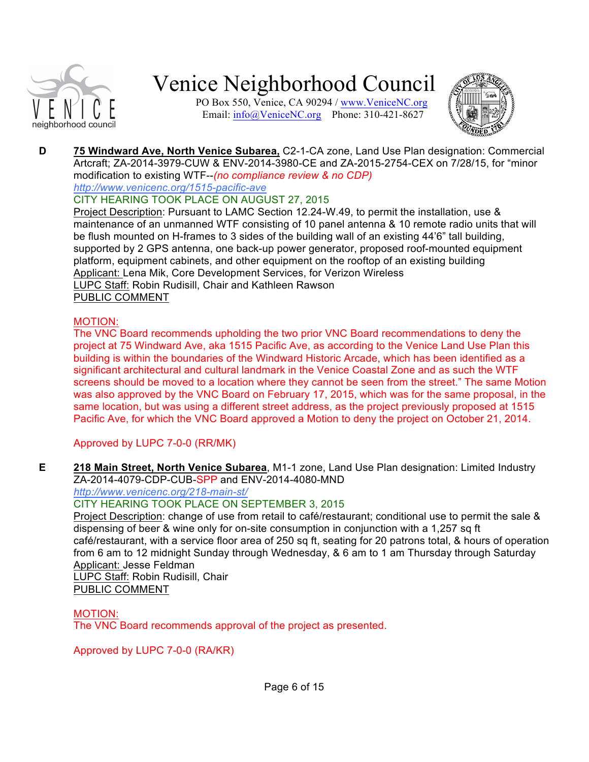

PO Box 550, Venice, CA 90294 / www.VeniceNC.org Email:  $info@V$ eniceNC.org Phone: 310-421-8627



**D 75 Windward Ave, North Venice Subarea,** C2-1-CA zone, Land Use Plan designation: Commercial Artcraft; ZA-2014-3979-CUW & ENV-2014-3980-CE and ZA-2015-2754-CEX on 7/28/15, for "minor modification to existing WTF--*(no compliance review & no CDP)*

*http://www.venicenc.org/1515-pacific-ave*

### CITY HEARING TOOK PLACE ON AUGUST 27, 2015

Project Description: Pursuant to LAMC Section 12.24-W.49, to permit the installation, use & maintenance of an unmanned WTF consisting of 10 panel antenna & 10 remote radio units that will be flush mounted on H-frames to 3 sides of the building wall of an existing 44'6" tall building, supported by 2 GPS antenna, one back-up power generator, proposed roof-mounted equipment platform, equipment cabinets, and other equipment on the rooftop of an existing building Applicant: Lena Mik, Core Development Services, for Verizon Wireless LUPC Staff: Robin Rudisill, Chair and Kathleen Rawson PUBLIC COMMENT

### MOTION:

The VNC Board recommends upholding the two prior VNC Board recommendations to deny the project at 75 Windward Ave, aka 1515 Pacific Ave, as according to the Venice Land Use Plan this building is within the boundaries of the Windward Historic Arcade, which has been identified as a significant architectural and cultural landmark in the Venice Coastal Zone and as such the WTF screens should be moved to a location where they cannot be seen from the street." The same Motion was also approved by the VNC Board on February 17, 2015, which was for the same proposal, in the same location, but was using a different street address, as the project previously proposed at 1515 Pacific Ave, for which the VNC Board approved a Motion to deny the project on October 21, 2014.

Approved by LUPC 7-0-0 (RR/MK)

**E 218 Main Street, North Venice Subarea**, M1-1 zone, Land Use Plan designation: Limited Industry ZA-2014-4079-CDP-CUB-SPP and ENV-2014-4080-MND

### *http://www.venicenc.org/218-main-st/*

### CITY HEARING TOOK PLACE ON SEPTEMBER 3, 2015

Project Description: change of use from retail to café/restaurant; conditional use to permit the sale & dispensing of beer & wine only for on-site consumption in conjunction with a 1,257 sq ft café/restaurant, with a service floor area of 250 sq ft, seating for 20 patrons total, & hours of operation from 6 am to 12 midnight Sunday through Wednesday, & 6 am to 1 am Thursday through Saturday Applicant: Jesse Feldman

LUPC Staff: Robin Rudisill, Chair PUBLIC COMMENT

### MOTION:

The VNC Board recommends approval of the project as presented.

Approved by LUPC 7-0-0 (RA/KR)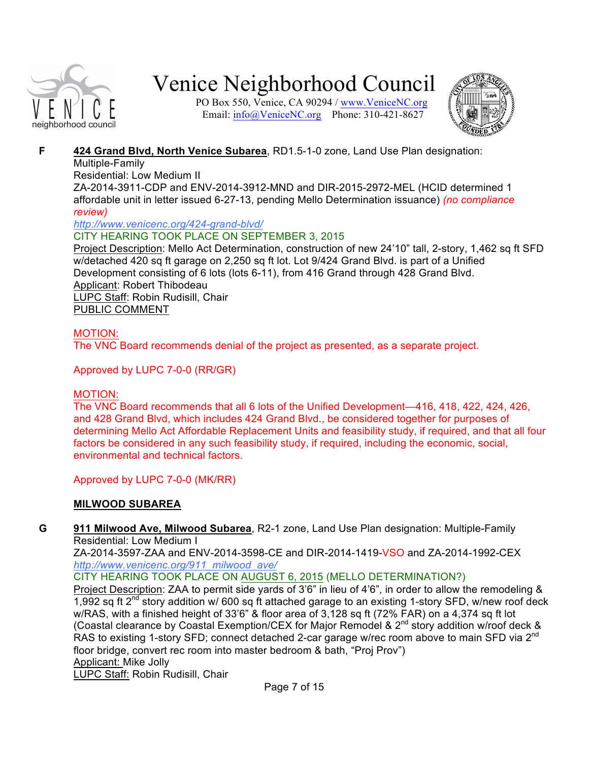

PO Box 550, Venice, CA 90294 / www.VeniceNC.org Email:  $info@V$ eniceNC.org Phone: 310-421-8627



### **F 424 Grand Blvd, North Venice Subarea**, RD1.5-1-0 zone, Land Use Plan designation:

#### Multiple-Family

Residential: Low Medium II

ZA-2014-3911-CDP and ENV-2014-3912-MND and DIR-2015-2972-MEL (HCID determined 1 affordable unit in letter issued 6-27-13, pending Mello Determination issuance) *(no compliance review)*

#### *http://www.venicenc.org/424-grand-blvd/*

### CITY HEARING TOOK PLACE ON SEPTEMBER 3, 2015

Project Description: Mello Act Determination, construction of new 24'10" tall, 2-story, 1,462 sq ft SFD w/detached 420 sq ft garage on 2,250 sq ft lot. Lot 9/424 Grand Blvd. is part of a Unified Development consisting of 6 lots (lots 6-11), from 416 Grand through 428 Grand Blvd. Applicant: Robert Thibodeau LUPC Staff: Robin Rudisill, Chair PUBLIC COMMENT

### MOTION:

The VNC Board recommends denial of the project as presented, as a separate project.

### Approved by LUPC 7-0-0 (RR/GR)

#### MOTION:

The VNC Board recommends that all 6 lots of the Unified Development—416, 418, 422, 424, 426, and 428 Grand Blvd, which includes 424 Grand Blvd., be considered together for purposes of determining Mello Act Affordable Replacement Units and feasibility study, if required, and that all four factors be considered in any such feasibility study, if required, including the economic, social, environmental and technical factors.

Approved by LUPC 7-0-0 (MK/RR)

### **MILWOOD SUBAREA**

**G 911 Milwood Ave, Milwood Subarea**, R2-1 zone, Land Use Plan designation: Multiple-Family Residential: Low Medium I

ZA-2014-3597-ZAA and ENV-2014-3598-CE and DIR-2014-1419-VSO and ZA-2014-1992-CEX *http://www.venicenc.org/911\_milwood\_ave/*

CITY HEARING TOOK PLACE ON AUGUST 6, 2015 (MELLO DETERMINATION?)

Project Description: ZAA to permit side yards of 3'6" in lieu of 4'6", in order to allow the remodeling & 1,992 sq ft  $2^{nd}$  story addition w/ 600 sq ft attached garage to an existing 1-story SFD, w/new roof deck w/RAS, with a finished height of 33'6" & floor area of 3,128 sq ft (72% FAR) on a 4,374 sq ft lot (Coastal clearance by Coastal Exemption/CEX for Major Remodel & 2nd story addition w/roof deck & RAS to existing 1-story SFD; connect detached 2-car garage w/rec room above to main SFD via 2<sup>nd</sup> floor bridge, convert rec room into master bedroom & bath, "Proj Prov") Applicant: Mike Jolly

LUPC Staff: Robin Rudisill, Chair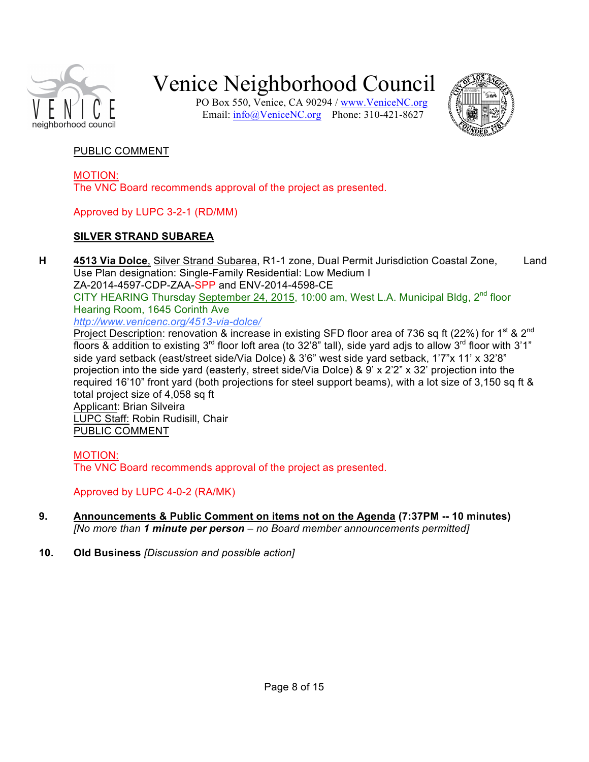

PO Box 550, Venice, CA 90294 / www.VeniceNC.org Email: info@VeniceNC.org Phone: 310-421-8627



#### PUBLIC COMMENT

MOTION: The VNC Board recommends approval of the project as presented.

#### Approved by LUPC 3-2-1 (RD/MM)

### **SILVER STRAND SUBAREA**

**H 4513 Via Dolce**, Silver Strand Subarea, R1-1 zone, Dual Permit Jurisdiction Coastal Zone, Land Use Plan designation: Single-Family Residential: Low Medium I ZA-2014-4597-CDP-ZAA-SPP and ENV-2014-4598-CE CITY HEARING Thursday September 24, 2015, 10:00 am, West L.A. Municipal Bldg,  $2^{nd}$  floor Hearing Room, 1645 Corinth Ave *http://www.venicenc.org/4513-via-dolce/*

Project Description: renovation & increase in existing SFD floor area of 736 sq ft (22%) for 1<sup>st</sup> & 2<sup>nd</sup> floors & addition to existing 3<sup>rd</sup> floor loft area (to 32'8" tall), side yard adjs to allow 3<sup>rd</sup> floor with 3'1" side yard setback (east/street side/Via Dolce) & 3'6" west side yard setback, 1'7"x 11' x 32'8" projection into the side yard (easterly, street side/Via Dolce) & 9' x 2'2" x 32' projection into the required 16'10" front yard (both projections for steel support beams), with a lot size of 3,150 sq ft & total project size of 4,058 sq ft Applicant: Brian Silveira

LUPC Staff: Robin Rudisill, Chair PUBLIC COMMENT

MOTION:

The VNC Board recommends approval of the project as presented.

Approved by LUPC 4-0-2 (RA/MK)

- **9. Announcements & Public Comment on items not on the Agenda (7:37PM -- 10 minutes)** *[No more than 1 minute per person – no Board member announcements permitted]*
- **10. Old Business** *[Discussion and possible action]*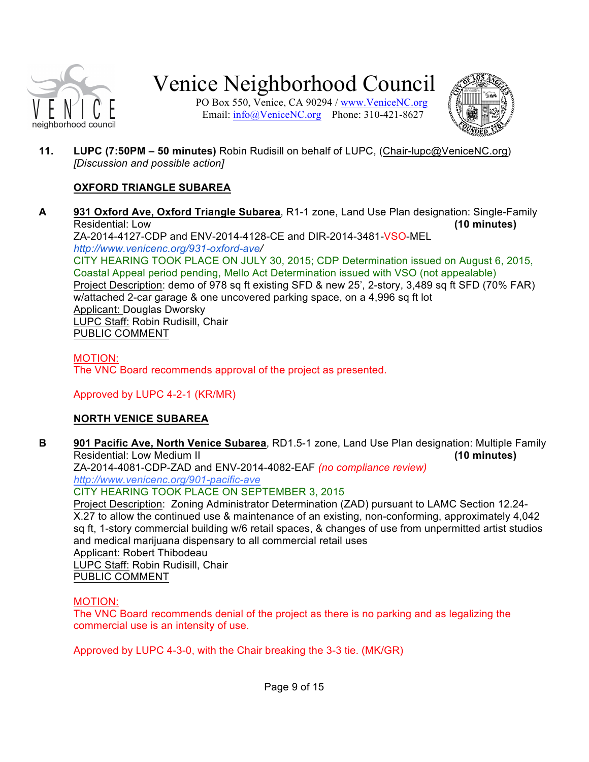

PO Box 550, Venice, CA 90294 / www.VeniceNC.org Email:  $info@V$ eniceNC.org Phone: 310-421-8627



**11. LUPC (7:50PM – 50 minutes)** Robin Rudisill on behalf of LUPC, (Chair-lupc@VeniceNC.org) *[Discussion and possible action]*

#### **OXFORD TRIANGLE SUBAREA**

**A 931 Oxford Ave, Oxford Triangle Subarea**, R1-1 zone, Land Use Plan designation: Single-Family Residential: Low **(10 minutes)**

ZA-2014-4127-CDP and ENV-2014-4128-CE and DIR-2014-3481-VSO-MEL *http://www.venicenc.org/931-oxford-ave/*

CITY HEARING TOOK PLACE ON JULY 30, 2015; CDP Determination issued on August 6, 2015, Coastal Appeal period pending, Mello Act Determination issued with VSO (not appealable) Project Description: demo of 978 sq ft existing SFD & new 25', 2-story, 3,489 sq ft SFD (70% FAR) w/attached 2-car garage & one uncovered parking space, on a 4,996 sq ft lot Applicant: Douglas Dworsky LUPC Staff: Robin Rudisill, Chair PUBLIC COMMENT

MOTION: The VNC Board recommends approval of the project as presented.

Approved by LUPC 4-2-1 (KR/MR)

### **NORTH VENICE SUBAREA**

**B 901 Pacific Ave, North Venice Subarea**, RD1.5-1 zone, Land Use Plan designation: Multiple Family Residential: Low Medium II **(10 minutes)** ZA-2014-4081-CDP-ZAD and ENV-2014-4082-EAF *(no compliance review)*

*http://www.venicenc.org/901-pacific-ave*

CITY HEARING TOOK PLACE ON SEPTEMBER 3, 2015

Project Description: Zoning Administrator Determination (ZAD) pursuant to LAMC Section 12.24- X.27 to allow the continued use & maintenance of an existing, non-conforming, approximately 4,042 sq ft, 1-story commercial building w/6 retail spaces, & changes of use from unpermitted artist studios and medical marijuana dispensary to all commercial retail uses Applicant: Robert Thibodeau LUPC Staff: Robin Rudisill, Chair PUBLIC COMMENT

#### MOTION:

The VNC Board recommends denial of the project as there is no parking and as legalizing the commercial use is an intensity of use.

Approved by LUPC 4-3-0, with the Chair breaking the 3-3 tie. (MK/GR)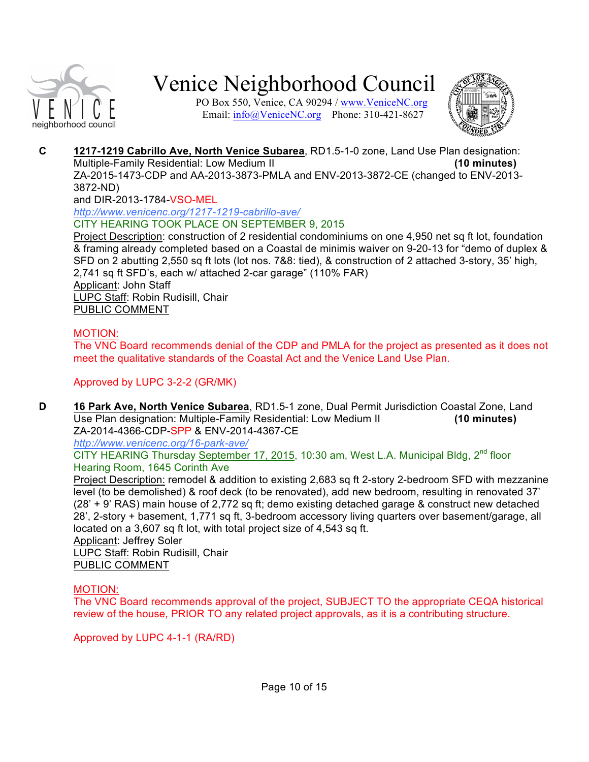

PO Box 550, Venice, CA 90294 / www.VeniceNC.org Email:  $info@V$ eniceNC.org Phone: 310-421-8627



**C 1217-1219 Cabrillo Ave, North Venice Subarea**, RD1.5-1-0 zone, Land Use Plan designation: Multiple-Family Residential: Low Medium II **(10 minutes)** ZA-2015-1473-CDP and AA-2013-3873-PMLA and ENV-2013-3872-CE (changed to ENV-2013- 3872-ND)

and DIR-2013-1784-VSO-MEL

*http://www.venicenc.org/1217-1219-cabrillo-ave/* CITY HEARING TOOK PLACE ON SEPTEMBER 9, 2015

Project Description: construction of 2 residential condominiums on one 4,950 net sq ft lot, foundation & framing already completed based on a Coastal de minimis waiver on 9-20-13 for "demo of duplex & SFD on 2 abutting 2,550 sq ft lots (lot nos. 7&8: tied), & construction of 2 attached 3-story, 35' high, 2,741 sq ft SFD's, each w/ attached 2-car garage" (110% FAR) Applicant: John Staff LUPC Staff: Robin Rudisill, Chair PUBLIC COMMENT

#### MOTION:

The VNC Board recommends denial of the CDP and PMLA for the project as presented as it does not meet the qualitative standards of the Coastal Act and the Venice Land Use Plan.

#### Approved by LUPC 3-2-2 (GR/MK)

**D 16 Park Ave, North Venice Subarea**, RD1.5-1 zone, Dual Permit Jurisdiction Coastal Zone, Land Use Plan designation: Multiple-Family Residential: Low Medium II **(10 minutes)** ZA-2014-4366-CDP-SPP & ENV-2014-4367-CE

*http://www.venicenc.org/16-park-ave/*

CITY HEARING Thursday September 17, 2015, 10:30 am, West L.A. Municipal Bldg, 2<sup>nd</sup> floor Hearing Room, 1645 Corinth Ave

Project Description: remodel & addition to existing 2,683 sq ft 2-story 2-bedroom SFD with mezzanine level (to be demolished) & roof deck (to be renovated), add new bedroom, resulting in renovated 37' (28' + 9' RAS) main house of 2,772 sq ft; demo existing detached garage & construct new detached 28', 2-story + basement, 1,771 sq ft, 3-bedroom accessory living quarters over basement/garage, all located on a 3,607 sq ft lot, with total project size of 4,543 sq ft. Applicant: Jeffrey Soler LUPC Staff: Robin Rudisill, Chair

PUBLIC COMMENT

#### MOTION:

The VNC Board recommends approval of the project, SUBJECT TO the appropriate CEQA historical review of the house, PRIOR TO any related project approvals, as it is a contributing structure.

Approved by LUPC 4-1-1 (RA/RD)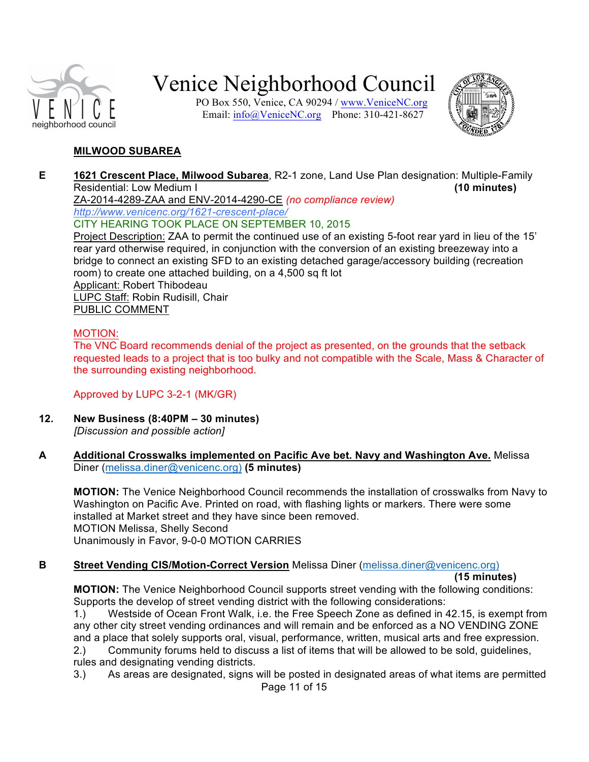

PO Box 550, Venice, CA 90294 / www.VeniceNC.org Email: info@VeniceNC.org Phone: 310-421-8627



#### **MILWOOD SUBAREA**

**E 1621 Crescent Place, Milwood Subarea**, R2-1 zone, Land Use Plan designation: Multiple-Family Residential: Low Medium I **(10 minutes)** ZA-2014-4289-ZAA and ENV-2014-4290-CE *(no compliance review) http://www.venicenc.org/1621-crescent-place/* CITY HEARING TOOK PLACE ON SEPTEMBER 10, 2015 Project Description: ZAA to permit the continued use of an existing 5-foot rear yard in lieu of the 15' rear yard otherwise required, in conjunction with the conversion of an existing breezeway into a

bridge to connect an existing SFD to an existing detached garage/accessory building (recreation room) to create one attached building, on a 4,500 sq ft lot Applicant: Robert Thibodeau LUPC Staff: Robin Rudisill, Chair PUBLIC COMMENT

#### MOTION:

The VNC Board recommends denial of the project as presented, on the grounds that the setback requested leads to a project that is too bulky and not compatible with the Scale, Mass & Character of the surrounding existing neighborhood.

Approved by LUPC 3-2-1 (MK/GR)

- **12. New Business (8:40PM – 30 minutes)** *[Discussion and possible action]*
- **A Additional Crosswalks implemented on Pacific Ave bet. Navy and Washington Ave.** Melissa Diner (melissa.diner@venicenc.org) **(5 minutes)**

**MOTION:** The Venice Neighborhood Council recommends the installation of crosswalks from Navy to Washington on Pacific Ave. Printed on road, with flashing lights or markers. There were some installed at Market street and they have since been removed. MOTION Melissa, Shelly Second Unanimously in Favor, 9-0-0 MOTION CARRIES

#### **B Street Vending CIS/Motion-Correct Version** Melissa Diner (melissa.diner@venicenc.org)

**(15 minutes)**

**MOTION:** The Venice Neighborhood Council supports street vending with the following conditions: Supports the develop of street vending district with the following considerations:

1.) Westside of Ocean Front Walk, i.e. the Free Speech Zone as defined in 42.15, is exempt from any other city street vending ordinances and will remain and be enforced as a NO VENDING ZONE and a place that solely supports oral, visual, performance, written, musical arts and free expression. 2.) Community forums held to discuss a list of items that will be allowed to be sold, guidelines, rules and designating vending districts.

Page 11 of 15 3.) As areas are designated, signs will be posted in designated areas of what items are permitted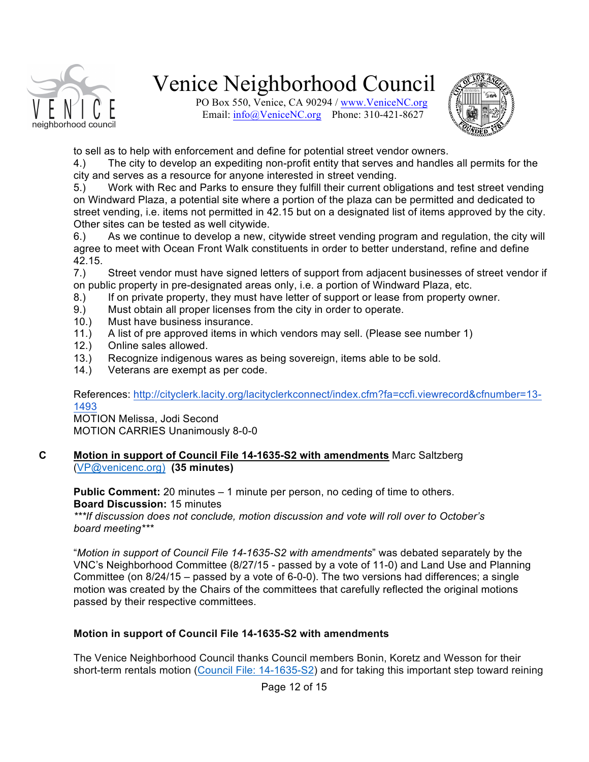

PO Box 550, Venice, CA 90294 / www.VeniceNC.org Email:  $\frac{info(@)$ VeniceNC.org Phone: 310-421-8627



to sell as to help with enforcement and define for potential street vendor owners.

4.) The city to develop an expediting non-profit entity that serves and handles all permits for the city and serves as a resource for anyone interested in street vending.

5.) Work with Rec and Parks to ensure they fulfill their current obligations and test street vending on Windward Plaza, a potential site where a portion of the plaza can be permitted and dedicated to street vending, i.e. items not permitted in 42.15 but on a designated list of items approved by the city. Other sites can be tested as well citywide.

6.) As we continue to develop a new, citywide street vending program and regulation, the city will agree to meet with Ocean Front Walk constituents in order to better understand, refine and define 42.15.

7.) Street vendor must have signed letters of support from adjacent businesses of street vendor if on public property in pre-designated areas only, i.e. a portion of Windward Plaza, etc.

- 8.) If on private property, they must have letter of support or lease from property owner.
- 9.) Must obtain all proper licenses from the city in order to operate.
- 10.) Must have business insurance.
- 11.) A list of pre approved items in which vendors may sell. (Please see number 1)
- 12.) Online sales allowed.
- 13.) Recognize indigenous wares as being sovereign, items able to be sold.
- 14.) Veterans are exempt as per code.

References: http://cityclerk.lacity.org/lacityclerkconnect/index.cfm?fa=ccfi.viewrecord&cfnumber=13- 1493

MOTION Melissa, Jodi Second MOTION CARRIES Unanimously 8-0-0

#### **C Motion in support of Council File 14-1635-S2 with amendments** Marc Saltzberg (VP@venicenc.org) **(35 minutes)**

**Public Comment:** 20 minutes – 1 minute per person, no ceding of time to others. **Board Discussion:** 15 minutes

*\*\*\*If discussion does not conclude, motion discussion and vote will roll over to October's board meeting\*\*\**

"*Motion in support of Council File 14-1635-S2 with amendments*" was debated separately by the VNC's Neighborhood Committee (8/27/15 - passed by a vote of 11-0) and Land Use and Planning Committee (on 8/24/15 – passed by a vote of 6-0-0). The two versions had differences; a single motion was created by the Chairs of the committees that carefully reflected the original motions passed by their respective committees.

#### **Motion in support of Council File 14-1635-S2 with amendments**

The Venice Neighborhood Council thanks Council members Bonin, Koretz and Wesson for their short-term rentals motion (Council File: 14-1635-S2) and for taking this important step toward reining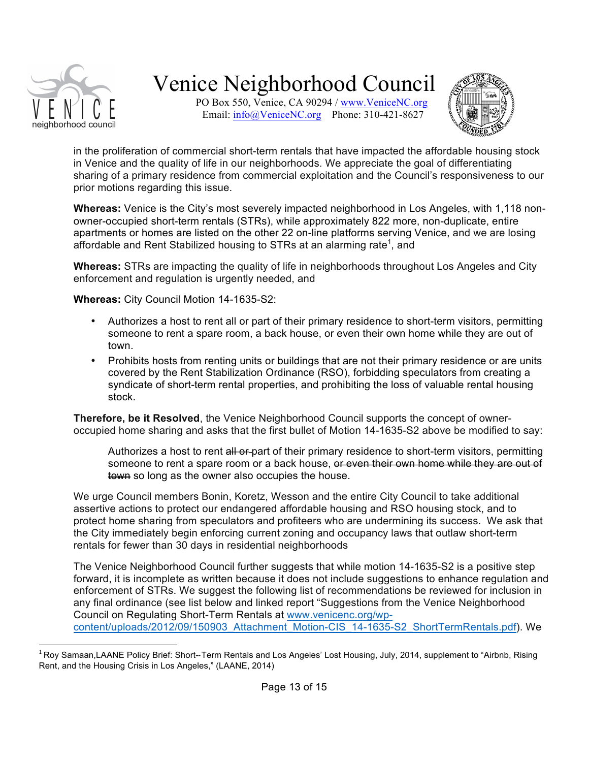

PO Box 550, Venice, CA 90294 / www.VeniceNC.org Email:  $info@V$ eniceNC.org Phone: 310-421-8627



in the proliferation of commercial short-term rentals that have impacted the affordable housing stock in Venice and the quality of life in our neighborhoods. We appreciate the goal of differentiating sharing of a primary residence from commercial exploitation and the Council's responsiveness to our prior motions regarding this issue.

**Whereas:** Venice is the City's most severely impacted neighborhood in Los Angeles, with 1,118 nonowner-occupied short-term rentals (STRs), while approximately 822 more, non-duplicate, entire apartments or homes are listed on the other 22 on-line platforms serving Venice, and we are losing affordable and Rent Stabilized housing to STRs at an alarming rate<sup>1</sup>, and

**Whereas:** STRs are impacting the quality of life in neighborhoods throughout Los Angeles and City enforcement and regulation is urgently needed, and

**Whereas:** City Council Motion 14-1635-S2:

- Authorizes a host to rent all or part of their primary residence to short-term visitors, permitting someone to rent a spare room, a back house, or even their own home while they are out of town.
- Prohibits hosts from renting units or buildings that are not their primary residence or are units covered by the Rent Stabilization Ordinance (RSO), forbidding speculators from creating a syndicate of short-term rental properties, and prohibiting the loss of valuable rental housing stock.

**Therefore, be it Resolved**, the Venice Neighborhood Council supports the concept of owneroccupied home sharing and asks that the first bullet of Motion 14-1635-S2 above be modified to say:

Authorizes a host to rent all or part of their primary residence to short-term visitors, permitting someone to rent a spare room or a back house, or even their own home while they are out of town so long as the owner also occupies the house.

We urge Council members Bonin, Koretz, Wesson and the entire City Council to take additional assertive actions to protect our endangered affordable housing and RSO housing stock, and to protect home sharing from speculators and profiteers who are undermining its success. We ask that the City immediately begin enforcing current zoning and occupancy laws that outlaw short-term rentals for fewer than 30 days in residential neighborhoods

The Venice Neighborhood Council further suggests that while motion 14-1635-S2 is a positive step forward, it is incomplete as written because it does not include suggestions to enhance regulation and enforcement of STRs. We suggest the following list of recommendations be reviewed for inclusion in any final ordinance (see list below and linked report "Suggestions from the Venice Neighborhood Council on Regulating Short-Term Rentals at www.venicenc.org/wpcontent/uploads/2012/09/150903\_Attachment\_Motion-CIS\_14-1635-S2\_ShortTermRentals.pdf). We

 $1$ Roy Samaan,LAANE Policy Brief: Short--Term Rentals and Los Angeles' Lost Housing, July, 2014, supplement to "Airbnb, Rising Rent, and the Housing Crisis in Los Angeles," (LAANE, 2014)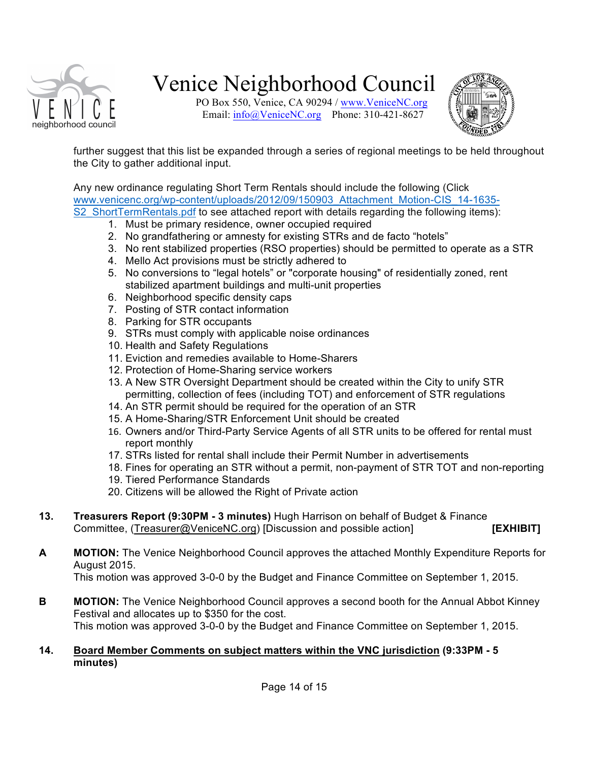

PO Box 550, Venice, CA 90294 / www.VeniceNC.org Email:  $info@V$ eniceNC.org Phone: 310-421-8627



further suggest that this list be expanded through a series of regional meetings to be held throughout the City to gather additional input.

Any new ordinance regulating Short Term Rentals should include the following (Click www.venicenc.org/wp-content/uploads/2012/09/150903\_Attachment\_Motion-CIS\_14-1635- S2 ShortTermRentals.pdf to see attached report with details regarding the following items):

- 1. Must be primary residence, owner occupied required
- 2. No grandfathering or amnesty for existing STRs and de facto "hotels"
- 3. No rent stabilized properties (RSO properties) should be permitted to operate as a STR
- 4. Mello Act provisions must be strictly adhered to
- 5. No conversions to "legal hotels" or "corporate housing" of residentially zoned, rent stabilized apartment buildings and multi-unit properties
- 6. Neighborhood specific density caps
- 7. Posting of STR contact information
- 8. Parking for STR occupants
- 9. STRs must comply with applicable noise ordinances
- 10. Health and Safety Regulations
- 11. Eviction and remedies available to Home-Sharers
- 12. Protection of Home-Sharing service workers
- 13. A New STR Oversight Department should be created within the City to unify STR permitting, collection of fees (including TOT) and enforcement of STR regulations
- 14. An STR permit should be required for the operation of an STR
- 15. A Home-Sharing/STR Enforcement Unit should be created
- 16. Owners and/or Third-Party Service Agents of all STR units to be offered for rental must report monthly
- 17. STRs listed for rental shall include their Permit Number in advertisements
- 18. Fines for operating an STR without a permit, non-payment of STR TOT and non-reporting
- 19. Tiered Performance Standards
- 20. Citizens will be allowed the Right of Private action
- **13. Treasurers Report (9:30PM - 3 minutes)** Hugh Harrison on behalf of Budget & Finance Committee, (Treasurer@VeniceNC.org) [Discussion and possible action] **[EXHIBIT]**
- **A MOTION:** The Venice Neighborhood Council approves the attached Monthly Expenditure Reports for August 2015.

This motion was approved 3-0-0 by the Budget and Finance Committee on September 1, 2015.

**B MOTION:** The Venice Neighborhood Council approves a second booth for the Annual Abbot Kinney Festival and allocates up to \$350 for the cost. This motion was approved 3-0-0 by the Budget and Finance Committee on September 1, 2015.

#### **14. Board Member Comments on subject matters within the VNC jurisdiction (9:33PM - 5 minutes)**